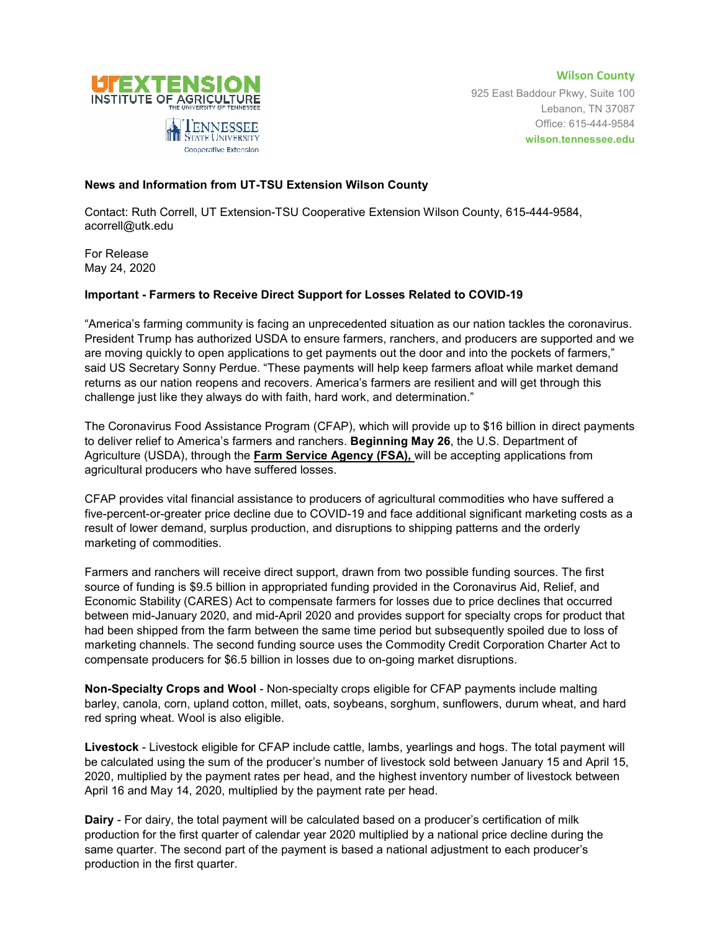

**Wilson County** 925 East Baddour Pkwy, Suite 100 Lebanon, TN 37087 Office: 615-444-9584 **wilson.tennessee.edu**

## **News and Information from UT-TSU Extension Wilson County**

Contact: Ruth Correll, UT Extension-TSU Cooperative Extension Wilson County, 615-444-9584, acorrell@utk.edu

For Release May 24, 2020

## **Important - Farmers to Receive Direct Support for Losses Related to COVID-19**

"America's farming community is facing an unprecedented situation as our nation tackles the coronavirus. President Trump has authorized USDA to ensure farmers, ranchers, and producers are supported and we are moving quickly to open applications to get payments out the door and into the pockets of farmers," said US Secretary Sonny Perdue. "These payments will help keep farmers afloat while market demand returns as our nation reopens and recovers. America's farmers are resilient and will get through this challenge just like they always do with faith, hard work, and determination."

The Coronavirus Food Assistance Program (CFAP), which will provide up to \$16 billion in direct payments to deliver relief to America's farmers and ranchers. **Beginning May 26**, the U.S. Department of Agriculture (USDA), through the **Farm Service Agency (FSA),** will be accepting applications from agricultural producers who have suffered losses.

CFAP provides vital financial assistance to producers of agricultural commodities who have suffered a five-percent-or-greater price decline due to COVID-19 and face additional significant marketing costs as a result of lower demand, surplus production, and disruptions to shipping patterns and the orderly marketing of commodities.

Farmers and ranchers will receive direct support, drawn from two possible funding sources. The first source of funding is \$9.5 billion in appropriated funding provided in the Coronavirus Aid, Relief, and Economic Stability (CARES) Act to compensate farmers for losses due to price declines that occurred between mid-January 2020, and mid-April 2020 and provides support for specialty crops for product that had been shipped from the farm between the same time period but subsequently spoiled due to loss of marketing channels. The second funding source uses the Commodity Credit Corporation Charter Act to compensate producers for \$6.5 billion in losses due to on-going market disruptions.

**Non-Specialty Crops and Wool** - Non-specialty crops eligible for CFAP payments include malting barley, canola, corn, upland cotton, millet, oats, soybeans, sorghum, sunflowers, durum wheat, and hard red spring wheat. Wool is also eligible.

**Livestock** - Livestock eligible for CFAP include cattle, lambs, yearlings and hogs. The total payment will be calculated using the sum of the producer's number of livestock sold between January 15 and April 15, 2020, multiplied by the payment rates per head, and the highest inventory number of livestock between April 16 and May 14, 2020, multiplied by the payment rate per head.

**Dairy** - For dairy, the total payment will be calculated based on a producer's certification of milk production for the first quarter of calendar year 2020 multiplied by a national price decline during the same quarter. The second part of the payment is based a national adjustment to each producer's production in the first quarter.